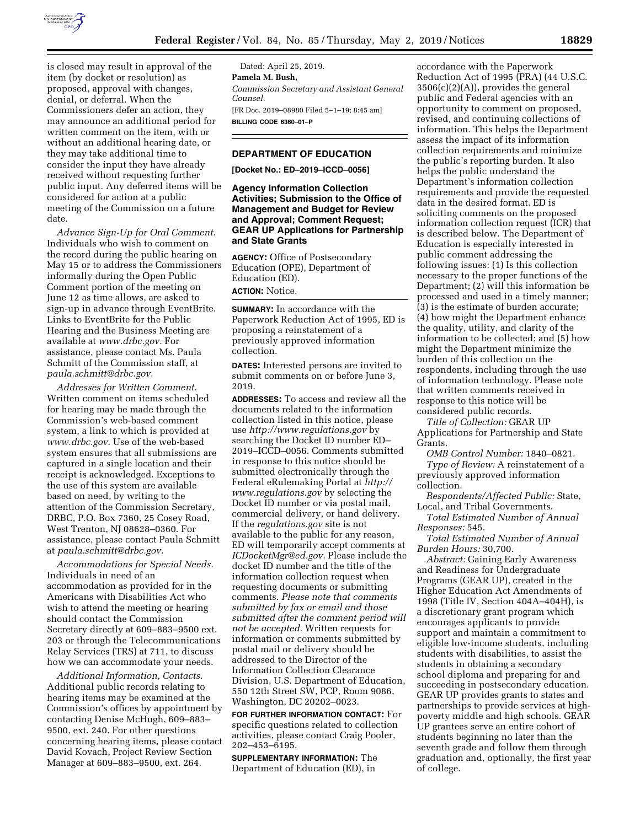

is closed may result in approval of the item (by docket or resolution) as proposed, approval with changes, denial, or deferral. When the Commissioners defer an action, they may announce an additional period for written comment on the item, with or without an additional hearing date, or they may take additional time to consider the input they have already received without requesting further public input. Any deferred items will be considered for action at a public meeting of the Commission on a future date.

*Advance Sign-Up for Oral Comment.*  Individuals who wish to comment on the record during the public hearing on May 15 or to address the Commissioners informally during the Open Public Comment portion of the meeting on June 12 as time allows, are asked to sign-up in advance through EventBrite. Links to EventBrite for the Public Hearing and the Business Meeting are available at *[www.drbc.gov.](http://www.drbc.gov)* For assistance, please contact Ms. Paula Schmitt of the Commission staff, at *[paula.schmitt@drbc.gov.](mailto:paula.schmitt@drbc.gov)* 

*Addresses for Written Comment.*  Written comment on items scheduled for hearing may be made through the Commission's web-based comment system, a link to which is provided at *[www.drbc.gov.](http://www.drbc.gov)* Use of the web-based system ensures that all submissions are captured in a single location and their receipt is acknowledged. Exceptions to the use of this system are available based on need, by writing to the attention of the Commission Secretary, DRBC, P.O. Box 7360, 25 Cosey Road, West Trenton, NJ 08628–0360. For assistance, please contact Paula Schmitt at *[paula.schmitt@drbc.gov.](mailto:paula.schmitt@drbc.gov)* 

*Accommodations for Special Needs.*  Individuals in need of an accommodation as provided for in the Americans with Disabilities Act who wish to attend the meeting or hearing should contact the Commission Secretary directly at 609–883–9500 ext. 203 or through the Telecommunications Relay Services (TRS) at 711, to discuss how we can accommodate your needs.

*Additional Information, Contacts.*  Additional public records relating to hearing items may be examined at the Commission's offices by appointment by contacting Denise McHugh, 609–883– 9500, ext. 240. For other questions concerning hearing items, please contact David Kovach, Project Review Section Manager at 609–883–9500, ext. 264.

Dated: April 25, 2019. **Pamela M. Bush,**  *Commission Secretary and Assistant General Counsel.*  [FR Doc. 2019–08980 Filed 5–1–19; 8:45 am] **BILLING CODE 6360–01–P** 

# **DEPARTMENT OF EDUCATION**

**[Docket No.: ED–2019–ICCD–0056]** 

**Agency Information Collection Activities; Submission to the Office of Management and Budget for Review and Approval; Comment Request; GEAR UP Applications for Partnership and State Grants** 

**AGENCY:** Office of Postsecondary Education (OPE), Department of Education (ED). **ACTION:** Notice.

**SUMMARY:** In accordance with the Paperwork Reduction Act of 1995, ED is proposing a reinstatement of a previously approved information collection.

**DATES:** Interested persons are invited to submit comments on or before June 3, 2019.

**ADDRESSES:** To access and review all the documents related to the information collection listed in this notice, please use *<http://www.regulations.gov>*by searching the Docket ID number ED– 2019–ICCD–0056. Comments submitted in response to this notice should be submitted electronically through the Federal eRulemaking Portal at *[http://](http://www.regulations.gov) [www.regulations.gov](http://www.regulations.gov)* by selecting the Docket ID number or via postal mail, commercial delivery, or hand delivery. If the *regulations.gov* site is not available to the public for any reason, ED will temporarily accept comments at *[ICDocketMgr@ed.gov.](mailto:ICDocketMgr@ed.gov)* Please include the docket ID number and the title of the information collection request when requesting documents or submitting comments. *Please note that comments submitted by fax or email and those submitted after the comment period will not be accepted.* Written requests for information or comments submitted by postal mail or delivery should be addressed to the Director of the Information Collection Clearance Division, U.S. Department of Education, 550 12th Street SW, PCP, Room 9086, Washington, DC 20202–0023.

**FOR FURTHER INFORMATION CONTACT:** For specific questions related to collection activities, please contact Craig Pooler, 202–453–6195.

**SUPPLEMENTARY INFORMATION:** The Department of Education (ED), in

accordance with the Paperwork Reduction Act of 1995 (PRA) (44 U.S.C.  $3506(c)(2)(A)$ , provides the general public and Federal agencies with an opportunity to comment on proposed, revised, and continuing collections of information. This helps the Department assess the impact of its information collection requirements and minimize the public's reporting burden. It also helps the public understand the Department's information collection requirements and provide the requested data in the desired format. ED is soliciting comments on the proposed information collection request (ICR) that is described below. The Department of Education is especially interested in public comment addressing the following issues: (1) Is this collection necessary to the proper functions of the Department; (2) will this information be processed and used in a timely manner; (3) is the estimate of burden accurate; (4) how might the Department enhance the quality, utility, and clarity of the information to be collected; and (5) how might the Department minimize the burden of this collection on the respondents, including through the use of information technology. Please note that written comments received in response to this notice will be considered public records.

*Title of Collection:* GEAR UP Applications for Partnership and State Grants.

*OMB Control Number:* 1840–0821. *Type of Review:* A reinstatement of a previously approved information collection.

*Respondents/Affected Public:* State, Local, and Tribal Governments.

*Total Estimated Number of Annual Responses:* 545.

*Total Estimated Number of Annual Burden Hours:* 30,700.

*Abstract:* Gaining Early Awareness and Readiness for Undergraduate Programs (GEAR UP), created in the Higher Education Act Amendments of 1998 (Title IV, Section 404A–404H), is a discretionary grant program which encourages applicants to provide support and maintain a commitment to eligible low-income students, including students with disabilities, to assist the students in obtaining a secondary school diploma and preparing for and succeeding in postsecondary education. GEAR UP provides grants to states and partnerships to provide services at highpoverty middle and high schools. GEAR UP grantees serve an entire cohort of students beginning no later than the seventh grade and follow them through graduation and, optionally, the first year of college.